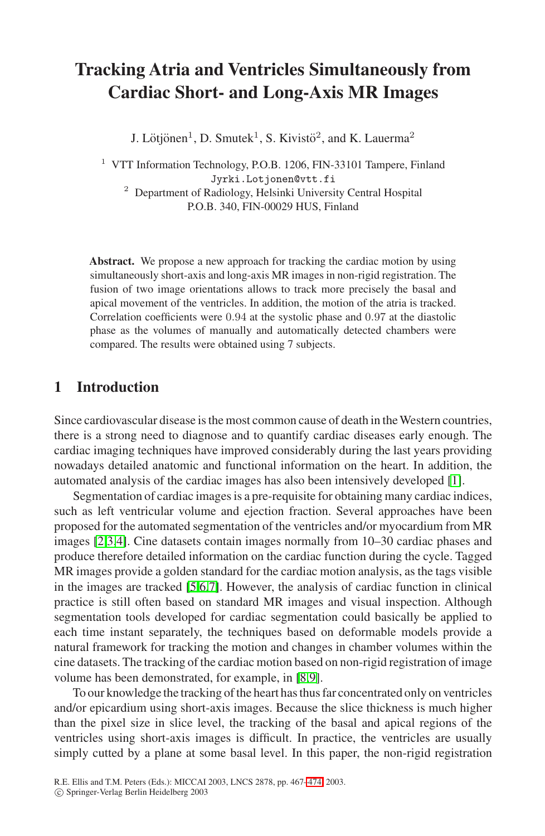# **Tracking Atria and Ventricles Simultaneously from Cardiac Short- and Long-Axis MR Images**

J. Lötjönen<sup>1</sup>, D. Smutek<sup>1</sup>, S. Kivistö<sup>2</sup>, and K. Lauerma<sup>2</sup>

<sup>1</sup> VTT Information Technology, P.O.B. 1206, FIN-33101 Tampere, Finland Jyrki.Lotjonen@vtt.fi <sup>2</sup> Department of Radiology, Helsinki University Central Hospital P.O.B. 340, FIN-00029 HUS, Finland

**Abstract.** We propose a new approach for tracking the cardiac motion by using simultaneously short-axis and long-axis MR images in non-rigid registration. The fusion of two image orientations allows to track more precisely the basal and apical movement of the ventricles. In addition, the motion of the atria is tracked. Correlation coefficients were 0.94 at the systolic phase and 0.97 at the diastolic phase as the volumes of manually and automatically detected chambers were compared. The results were obtained using 7 subjects.

### **1 Introduction**

Since cardiovascular disease is the most common cause of death in the Western countries, there is a strong need to diagnose and to quantify cardiac diseases early enough. The cardiac imaging techniques have improved considerably during the last years providing nowadays detailed anatomic and functional information on the heart. In addition, the automated analysis of the cardiac images has also been intensively developed [\[1\]](#page-7-0).

Segmentation of cardiac images is a pre-requisite for obtaining many cardiac indices, such as left ventricular volume and ejection fraction. Several approaches have been proposed for the automated segmentation of the ventricles and/or myocardium from MR images [\[2,3,4\]](#page-7-0). Cine datasets contain images normally from 10–30 cardiac phases and produce therefore detailed information on the cardiac function during the cycle. Tagged MR images provide a golden standard for the cardiac motion analysis, as the tags visible in the images are tracked [\[5,6,7\]](#page-7-0). However, the analysis of cardiac function in clinical practice is still often based on standard MR images and visual inspection. Although segmentation tools developed for cardiac segmentation could basically be applied to each time instant separately, the techniques based on deformable models provide a natural framework for tracking the motion and changes in chamber volumes within the cine datasets. The tracking of the cardiac motion based on non-rigid registration of image volume has been demonstrated, for example, in [\[8,9\]](#page-7-0).

To our knowledge the tracking of the heart has thus far concentrated only on ventricles and/or epicardium using short-axis images. Because the slice thickness is much higher than the pixel size in slice level, the tracking of the basal and apical regions of the ventricles using short-axis images is difficult. In practice, the ventricles are usually simply cutted by a plane at some basal level. In this paper, the non-rigid registration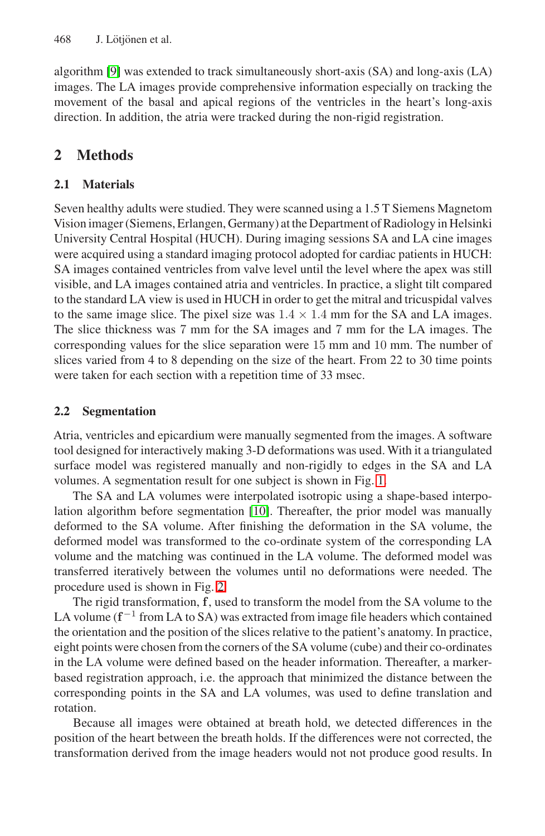<span id="page-1-0"></span>algorithm [\[9\]](#page-7-0) was extended to track simultaneously short-axis (SA) and long-axis (LA) images. The LA images provide comprehensive information especially on tracking the movement of the basal and apical regions of the ventricles in the heart's long-axis direction. In addition, the atria were tracked during the non-rigid registration.

## **2 Methods**

## **2.1 Materials**

Seven healthy adults were studied. They were scanned using a 1.5 T Siemens Magnetom Vision imager (Siemens, Erlangen, Germany) at the Department of Radiology in Helsinki University Central Hospital (HUCH). During imaging sessions SA and LA cine images were acquired using a standard imaging protocol adopted for cardiac patients in HUCH: SA images contained ventricles from valve level until the level where the apex was still visible, and LA images contained atria and ventricles. In practice, a slight tilt compared to the standard LA view is used in HUCH in order to get the mitral and tricuspidal valves to the same image slice. The pixel size was  $1.4 \times 1.4$  mm for the SA and LA images. The slice thickness was 7 mm for the SA images and 7 mm for the LA images. The corresponding values for the slice separation were 15 mm and 10 mm. The number of slices varied from 4 to 8 depending on the size of the heart. From 22 to 30 time points were taken for each section with a repetition time of 33 msec.

## **2.2 Segmentation**

Atria, ventricles and epicardium were manually segmented from the images. A software tool designed for interactively making 3-D deformations was used. With it a triangulated surface model was registered manually and non-rigidly to edges in the SA and LA volumes. A segmentation result for one subject is shown in Fig. [1.](#page-2-0)

The SA and LA volumes were interpolated isotropic using a shape-based interpolation algorithm before segmentation [\[10\]](#page-7-0). Thereafter, the prior model was manually deformed to the SA volume. After finishing the deformation in the SA volume, the deformed model was transformed to the co-ordinate system of the corresponding LA volume and the matching was continued in the LA volume. The deformed model was transferred iteratively between the volumes until no deformations were needed. The procedure used is shown in Fig. [2.](#page-2-0)

The rigid transformation, **f**, used to transform the model from the SA volume to the LA volume  $(f^{-1}$  from LA to SA) was extracted from image file headers which contained the orientation and the position of the slices relative to the patient's anatomy. In practice, eight points were chosen from the corners of the SA volume (cube) and their co-ordinates in the LA volume were defined based on the header information. Thereafter, a markerbased registration approach, i.e. the approach that minimized the distance between the corresponding points in the SA and LA volumes, was used to define translation and rotation.

Because all images were obtained at breath hold, we detected differences in the position of the heart between the breath holds. If the differences were not corrected, the transformation derived from the image headers would not not produce good results. In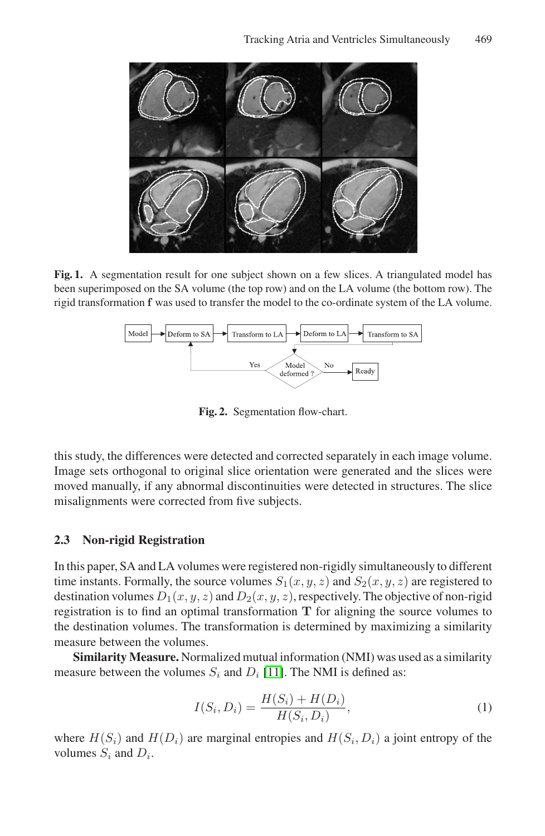<span id="page-2-0"></span>

**Fig. 1.** A segmentation result for one subject shown on a few slices. A triangulated model has been superimposed on the SA volume (the top row) and on the LA volume (the bottom row). The rigid transformation **f** was used to transfer the model to the co-ordinate system of the LA volume.



**Fig. 2.** Segmentation flow-chart.

this study, the differences were detected and corrected separately in each image volume. Image sets orthogonal to original slice orientation were generated and the slices were moved manually, if any abnormal discontinuities were detected in structures. The slice misalignments were corrected from five subjects.

#### **2.3 Non-rigid Registration**

In this paper, SA and LA volumes were registered non-rigidly simultaneously to different time instants. Formally, the source volumes  $S_1(x, y, z)$  and  $S_2(x, y, z)$  are registered to destination volumes  $D_1(x, y, z)$  and  $D_2(x, y, z)$ , respectively. The objective of non-rigid registration is to find an optimal transformation **T** for aligning the source volumes to the destination volumes. The transformation is determined by maximizing a similarity measure between the volumes.

**Similarity Measure.** Normalized mutual information (NMI) was used as a similarity measure between the volumes  $S_i$  and  $D_i$  [\[11\]](#page-7-0). The NMI is defined as:

$$
I(S_i, D_i) = \frac{H(S_i) + H(D_i)}{H(S_i, D_i)},
$$
\n(1)

where  $H(S_i)$  and  $H(D_i)$  are marginal entropies and  $H(S_i, D_i)$  a joint entropy of the volumes  $S_i$  and  $D_i$ .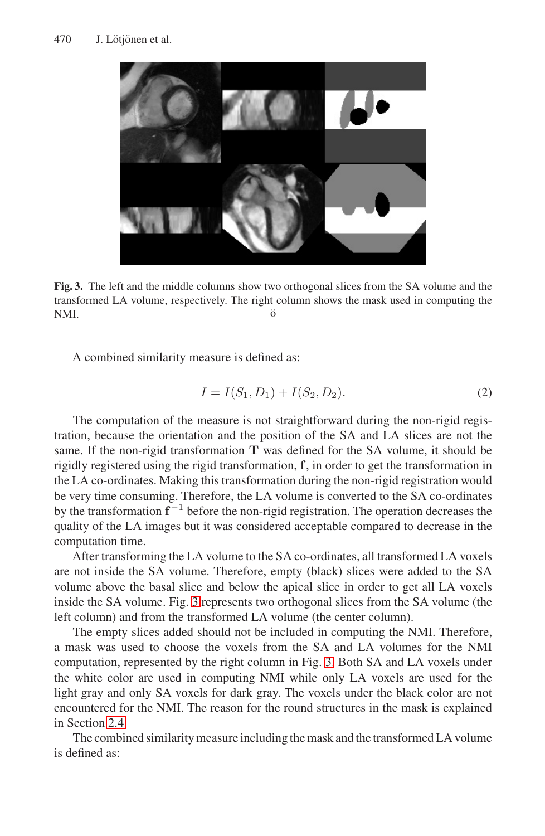<span id="page-3-0"></span>

**Fig. 3.** The left and the middle columns show two orthogonal slices from the SA volume and the transformed LA volume, respectively. The right column shows the mask used in computing the NMI. ö

A combined similarity measure is defined as:

$$
I = I(S_1, D_1) + I(S_2, D_2). \tag{2}
$$

The computation of the measure is not straightforward during the non-rigid registration, because the orientation and the position of the SA and LA slices are not the same. If the non-rigid transformation **T** was defined for the SA volume, it should be rigidly registered using the rigid transformation, **f**, in order to get the transformation in the LA co-ordinates. Making this transformation during the non-rigid registration would be very time consuming. Therefore, the LA volume is converted to the SA co-ordinates by the transformation **f** <sup>−</sup><sup>1</sup> before the non-rigid registration. The operation decreases the quality of the LA images but it was considered acceptable compared to decrease in the computation time.

After transforming the LA volume to the SA co-ordinates, all transformed LA voxels are not inside the SA volume. Therefore, empty (black) slices were added to the SA volume above the basal slice and below the apical slice in order to get all LA voxels inside the SA volume. Fig. 3 represents two orthogonal slices from the SA volume (the left column) and from the transformed LA volume (the center column).

The empty slices added should not be included in computing the NMI. Therefore, a mask was used to choose the voxels from the SA and LA volumes for the NMI computation, represented by the right column in Fig. 3. Both SA and LA voxels under the white color are used in computing NMI while only LA voxels are used for the light gray and only SA voxels for dark gray. The voxels under the black color are not encountered for the NMI. The reason for the round structures in the mask is explained in Section [2.4.](#page-4-0)

The combined similarity measure including the mask and the transformed LA volume is defined as: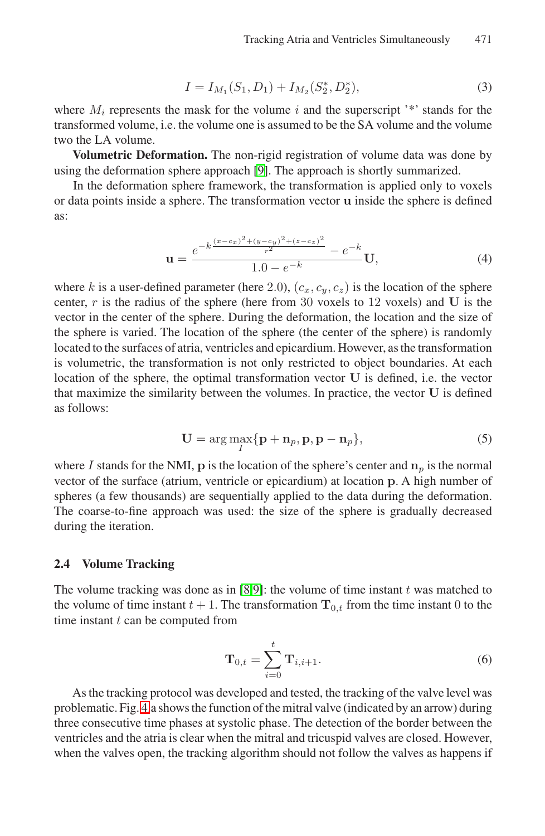$$
I = I_{M_1}(S_1, D_1) + I_{M_2}(S_2^*, D_2^*),
$$
\n(3)

<span id="page-4-0"></span>where  $M_i$  represents the mask for the volume i and the superscript '\*' stands for the transformed volume, i.e. the volume one is assumed to be the SA volume and the volume two the LA volume.

**Volumetric Deformation.** The non-rigid registration of volume data was done by using the deformation sphere approach [\[9\]](#page-7-0). The approach is shortly summarized.

In the deformation sphere framework, the transformation is applied only to voxels or data points inside a sphere. The transformation vector **u** inside the sphere is defined as:

$$
\mathbf{u} = \frac{e^{-k\frac{(x-c_x)^2 + (y-c_y)^2 + (z-c_z)^2}{r^2}} - e^{-k}}{1.0 - e^{-k}} \mathbf{U},\tag{4}
$$

where k is a user-defined parameter (here 2.0),  $(c_x, c_y, c_z)$  is the location of the sphere<br>center x is the radius of the sphere (here from 30 yovels to 12 yovels) and II is the center,  $r$  is the radius of the sphere (here from 30 voxels to 12 voxels) and **U** is the vector in the center of the sphere. During the deformation, the location and the size of the sphere is varied. The location of the sphere (the center of the sphere) is randomly located to the surfaces of atria, ventricles and epicardium. However, as the transformation is volumetric, the transformation is not only restricted to object boundaries. At each location of the sphere, the optimal transformation vector **U** is defined, i.e. the vector that maximize the similarity between the volumes. In practice, the vector **U** is defined as follows:

$$
\mathbf{U} = \arg\max_{I} \{ \mathbf{p} + \mathbf{n}_p, \mathbf{p}, \mathbf{p} - \mathbf{n}_p \},\tag{5}
$$

where I stands for the NMI,  $\bf{p}$  is the location of the sphere's center and  $\bf{n}_p$  is the normal vector of the surface (atrium, ventricle or epicardium) at location **p**. A high number of spheres (a few thousands) are sequentially applied to the data during the deformation. The coarse-to-fine approach was used: the size of the sphere is gradually decreased during the iteration.

#### **2.4 Volume Tracking**

The volume tracking was done as in  $[8,9]$ : the volume of time instant t was matched to the volume of time instant  $t + 1$ . The transformation  $\mathbf{T}_{0,t}$  from the time instant 0 to the time instant  $t$  can be computed from

$$
\mathbf{T}_{0,t} = \sum_{i=0}^{t} \mathbf{T}_{i,i+1}.
$$
 (6)

As the tracking protocol was developed and tested, the tracking of the valve level was problematic. Fig. [4.](#page-5-0)a shows the function of the mitral valve (indicated by an arrow) during three consecutive time phases at systolic phase. The detection of the border between the ventricles and the atria is clear when the mitral and tricuspid valves are closed. However, when the valves open, the tracking algorithm should not follow the valves as happens if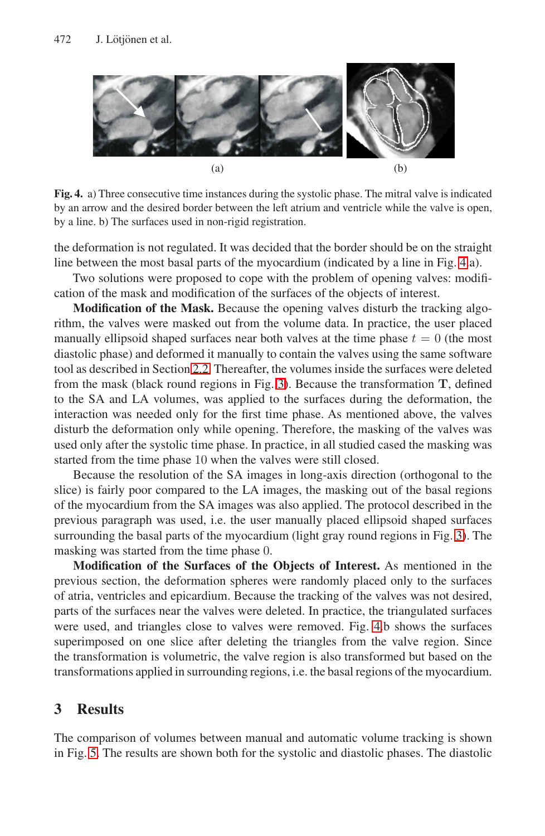<span id="page-5-0"></span>

**Fig. 4.** a) Three consecutive time instances during the systolic phase. The mitral valve is indicated by an arrow and the desired border between the left atrium and ventricle while the valve is open, by a line. b) The surfaces used in non-rigid registration.

the deformation is not regulated. It was decided that the border should be on the straight line between the most basal parts of the myocardium (indicated by a line in Fig. 4.a).

Two solutions were proposed to cope with the problem of opening valves: modification of the mask and modification of the surfaces of the objects of interest.

**Modification of the Mask.** Because the opening valves disturb the tracking algorithm, the valves were masked out from the volume data. In practice, the user placed manually ellipsoid shaped surfaces near both valves at the time phase  $t = 0$  (the most diastolic phase) and deformed it manually to contain the valves using the same software tool as described in Section [2.2.](#page-1-0) Thereafter, the volumes inside the surfaces were deleted from the mask (black round regions in Fig. [3\)](#page-3-0). Because the transformation **T**, defined to the SA and LA volumes, was applied to the surfaces during the deformation, the interaction was needed only for the first time phase. As mentioned above, the valves disturb the deformation only while opening. Therefore, the masking of the valves was used only after the systolic time phase. In practice, in all studied cased the masking was started from the time phase 10 when the valves were still closed.

Because the resolution of the SA images in long-axis direction (orthogonal to the slice) is fairly poor compared to the LA images, the masking out of the basal regions of the myocardium from the SA images was also applied. The protocol described in the previous paragraph was used, i.e. the user manually placed ellipsoid shaped surfaces surrounding the basal parts of the myocardium (light gray round regions in Fig. [3\)](#page-3-0). The masking was started from the time phase 0.

**Modification of the Surfaces of the Objects of Interest.** As mentioned in the previous section, the deformation spheres were randomly placed only to the surfaces of atria, ventricles and epicardium. Because the tracking of the valves was not desired, parts of the surfaces near the valves were deleted. In practice, the triangulated surfaces were used, and triangles close to valves were removed. Fig. 4.b shows the surfaces superimposed on one slice after deleting the triangles from the valve region. Since the transformation is volumetric, the valve region is also transformed but based on the transformations applied in surrounding regions, i.e. the basal regions of the myocardium.

## **3 Results**

The comparison of volumes between manual and automatic volume tracking is shown in Fig. [5.](#page-6-0) The results are shown both for the systolic and diastolic phases. The diastolic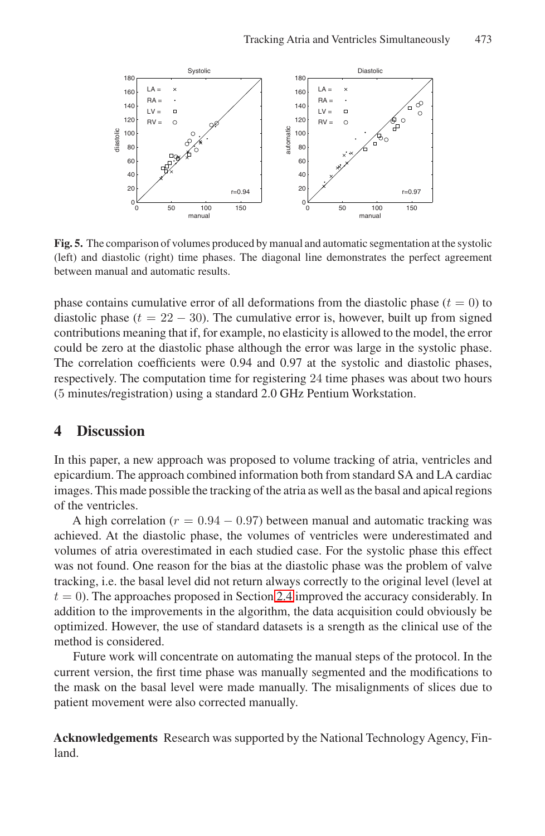<span id="page-6-0"></span>

**Fig. 5.** The comparison of volumes produced by manual and automatic segmentation at the systolic (left) and diastolic (right) time phases. The diagonal line demonstrates the perfect agreement between manual and automatic results.

phase contains cumulative error of all deformations from the diastolic phase ( $t = 0$ ) to diastolic phase ( $t = 22 - 30$ ). The cumulative error is, however, built up from signed contributions meaning that if, for example, no elasticity is allowed to the model, the error could be zero at the diastolic phase although the error was large in the systolic phase. The correlation coefficients were 0.94 and 0.97 at the systolic and diastolic phases, respectively. The computation time for registering 24 time phases was about two hours (5 minutes/registration) using a standard 2.0 GHz Pentium Workstation.

### **4 Discussion**

In this paper, a new approach was proposed to volume tracking of atria, ventricles and epicardium. The approach combined information both from standard SA and LA cardiac images. This made possible the tracking of the atria as well as the basal and apical regions of the ventricles.

A high correlation ( $r = 0.94 - 0.97$ ) between manual and automatic tracking was achieved. At the diastolic phase, the volumes of ventricles were underestimated and volumes of atria overestimated in each studied case. For the systolic phase this effect was not found. One reason for the bias at the diastolic phase was the problem of valve tracking, i.e. the basal level did not return always correctly to the original level (level at  $t = 0$ ). The approaches proposed in Section [2.4](#page-4-0) improved the accuracy considerably. In addition to the improvements in the algorithm, the data acquisition could obviously be optimized. However, the use of standard datasets is a srength as the clinical use of the method is considered.

Future work will concentrate on automating the manual steps of the protocol. In the current version, the first time phase was manually segmented and the modifications to the mask on the basal level were made manually. The misalignments of slices due to patient movement were also corrected manually.

**Acknowledgements** Research was supported by the National Technology Agency, Finland.